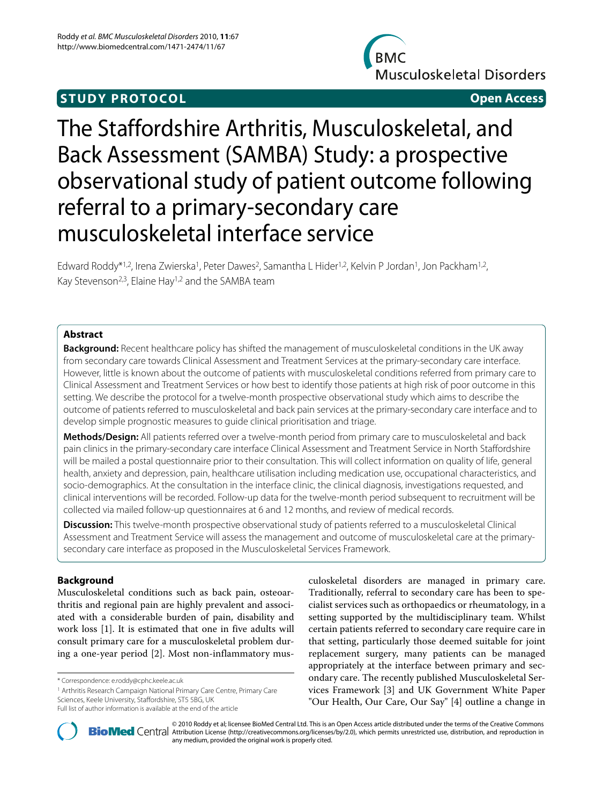# **STUDY PROTOCOL Open Access**



# The Staffordshire Arthritis, Musculoskeletal, and Back Assessment (SAMBA) Study: a prospective observational study of patient outcome following referral to a primary-secondary care musculoskeletal interface service

Edward Roddy\*1,2, Irena Zwierska1, Peter Dawes2, Samantha L Hider<sup>1,2</sup>, Kelvin P Jordan<sup>1</sup>, Jon Packham<sup>1,2</sup>, Kay Stevenson<sup>2,3</sup>, Elaine Hay<sup>1,2</sup> and the SAMBA team

# **Abstract**

**Background:** Recent healthcare policy has shifted the management of musculoskeletal conditions in the UK away from secondary care towards Clinical Assessment and Treatment Services at the primary-secondary care interface. However, little is known about the outcome of patients with musculoskeletal conditions referred from primary care to Clinical Assessment and Treatment Services or how best to identify those patients at high risk of poor outcome in this setting. We describe the protocol for a twelve-month prospective observational study which aims to describe the outcome of patients referred to musculoskeletal and back pain services at the primary-secondary care interface and to develop simple prognostic measures to guide clinical prioritisation and triage.

**Methods/Design:** All patients referred over a twelve-month period from primary care to musculoskeletal and back pain clinics in the primary-secondary care interface Clinical Assessment and Treatment Service in North Staffordshire will be mailed a postal questionnaire prior to their consultation. This will collect information on quality of life, general health, anxiety and depression, pain, healthcare utilisation including medication use, occupational characteristics, and socio-demographics. At the consultation in the interface clinic, the clinical diagnosis, investigations requested, and clinical interventions will be recorded. Follow-up data for the twelve-month period subsequent to recruitment will be collected via mailed follow-up questionnaires at 6 and 12 months, and review of medical records.

**Discussion:** This twelve-month prospective observational study of patients referred to a musculoskeletal Clinical Assessment and Treatment Service will assess the management and outcome of musculoskeletal care at the primarysecondary care interface as proposed in the Musculoskeletal Services Framework.

# **Background**

Musculoskeletal conditions such as back pain, osteoarthritis and regional pain are highly prevalent and associated with a considerable burden of pain, disability and work loss [[1\]](#page-5-0). It is estimated that one in five adults will consult primary care for a musculoskeletal problem during a one-year period [[2\]](#page-5-1). Most non-inflammatory musculoskeletal disorders are managed in primary care. Traditionally, referral to secondary care has been to specialist services such as orthopaedics or rheumatology, in a setting supported by the multidisciplinary team. Whilst certain patients referred to secondary care require care in that setting, particularly those deemed suitable for joint replacement surgery, many patients can be managed appropriately at the interface between primary and secondary care. The recently published Musculoskeletal Services Framework [[3\]](#page-5-2) and UK Government White Paper "Our Health, Our Care, Our Say" [\[4](#page-5-3)] outline a change in



2010 Roddy et al; licensee [BioMed](http://www.biomedcentral.com/) Central Ltd. This is an Open Access article distributed under the terms of the Creative Commons (http://creativecommons.org/licenses/by/2.0), which permits unrestricted use, distribution, any medium, provided the original work is properly cited.

<sup>\*</sup> Correspondence: e.roddy@cphc.keele.ac.uk

<sup>1</sup> Arthritis Research Campaign National Primary Care Centre, Primary Care Sciences, Keele University, Staffordshire, ST5 5BG, UK

Full list of author information is available at the end of the article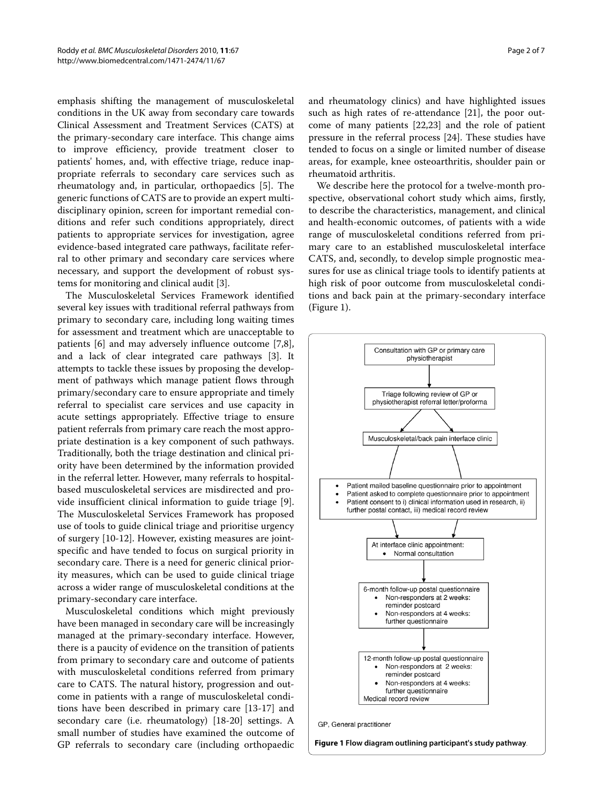emphasis shifting the management of musculoskeletal conditions in the UK away from secondary care towards Clinical Assessment and Treatment Services (CATS) at the primary-secondary care interface. This change aims to improve efficiency, provide treatment closer to patients' homes, and, with effective triage, reduce inappropriate referrals to secondary care services such as rheumatology and, in particular, orthopaedics [[5](#page-5-4)]. The generic functions of CATS are to provide an expert multidisciplinary opinion, screen for important remedial conditions and refer such conditions appropriately, direct patients to appropriate services for investigation, agree evidence-based integrated care pathways, facilitate referral to other primary and secondary care services where necessary, and support the development of robust systems for monitoring and clinical audit [[3\]](#page-5-2).

The Musculoskeletal Services Framework identified several key issues with traditional referral pathways from primary to secondary care, including long waiting times for assessment and treatment which are unacceptable to patients [\[6](#page-5-5)] and may adversely influence outcome [[7](#page-5-6)[,8](#page-5-7)], and a lack of clear integrated care pathways [[3\]](#page-5-2). It attempts to tackle these issues by proposing the development of pathways which manage patient flows through primary/secondary care to ensure appropriate and timely referral to specialist care services and use capacity in acute settings appropriately. Effective triage to ensure patient referrals from primary care reach the most appropriate destination is a key component of such pathways. Traditionally, both the triage destination and clinical priority have been determined by the information provided in the referral letter. However, many referrals to hospitalbased musculoskeletal services are misdirected and provide insufficient clinical information to guide triage [\[9](#page-5-8)]. The Musculoskeletal Services Framework has proposed use of tools to guide clinical triage and prioritise urgency of surgery [\[10-](#page-5-9)[12](#page-5-10)]. However, existing measures are jointspecific and have tended to focus on surgical priority in secondary care. There is a need for generic clinical priority measures, which can be used to guide clinical triage across a wider range of musculoskeletal conditions at the primary-secondary care interface.

Musculoskeletal conditions which might previously have been managed in secondary care will be increasingly managed at the primary-secondary interface. However, there is a paucity of evidence on the transition of patients from primary to secondary care and outcome of patients with musculoskeletal conditions referred from primary care to CATS. The natural history, progression and outcome in patients with a range of musculoskeletal conditions have been described in primary care [[13](#page-5-11)[-17](#page-5-12)] and secondary care (i.e. rheumatology) [\[18](#page-6-0)-[20\]](#page-6-1) settings. A small number of studies have examined the outcome of GP referrals to secondary care (including orthopaedic

and rheumatology clinics) and have highlighted issues such as high rates of re-attendance [[21](#page-6-2)], the poor outcome of many patients [[22,](#page-6-3)[23\]](#page-6-4) and the role of patient pressure in the referral process [\[24](#page-6-5)]. These studies have tended to focus on a single or limited number of disease areas, for example, knee osteoarthritis, shoulder pain or rheumatoid arthritis.

We describe here the protocol for a twelve-month prospective, observational cohort study which aims, firstly, to describe the characteristics, management, and clinical and health-economic outcomes, of patients with a wide range of musculoskeletal conditions referred from primary care to an established musculoskeletal interface CATS, and, secondly, to develop simple prognostic measures for use as clinical triage tools to identify patients at high risk of poor outcome from musculoskeletal conditions and back pain at the primary-secondary interface (Figure [1](#page-1-0)).

<span id="page-1-0"></span>

GP, General practitioner

**Figure 1 Flow diagram outlining participant's study pathway**.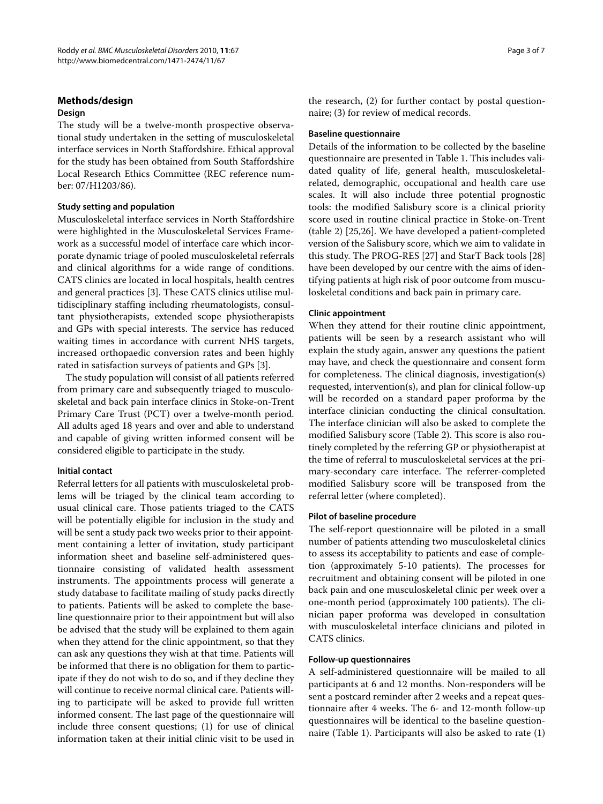# **Methods/design**

# **Design**

The study will be a twelve-month prospective observational study undertaken in the setting of musculoskeletal interface services in North Staffordshire. Ethical approval for the study has been obtained from South Staffordshire Local Research Ethics Committee (REC reference number: 07/H1203/86).

# **Study setting and population**

Musculoskeletal interface services in North Staffordshire were highlighted in the Musculoskeletal Services Framework as a successful model of interface care which incorporate dynamic triage of pooled musculoskeletal referrals and clinical algorithms for a wide range of conditions. CATS clinics are located in local hospitals, health centres and general practices [[3](#page-5-2)]. These CATS clinics utilise multidisciplinary staffing including rheumatologists, consultant physiotherapists, extended scope physiotherapists and GPs with special interests. The service has reduced waiting times in accordance with current NHS targets, increased orthopaedic conversion rates and been highly rated in satisfaction surveys of patients and GPs [[3\]](#page-5-2).

The study population will consist of all patients referred from primary care and subsequently triaged to musculoskeletal and back pain interface clinics in Stoke-on-Trent Primary Care Trust (PCT) over a twelve-month period. All adults aged 18 years and over and able to understand and capable of giving written informed consent will be considered eligible to participate in the study.

# **Initial contact**

Referral letters for all patients with musculoskeletal problems will be triaged by the clinical team according to usual clinical care. Those patients triaged to the CATS will be potentially eligible for inclusion in the study and will be sent a study pack two weeks prior to their appointment containing a letter of invitation, study participant information sheet and baseline self-administered questionnaire consisting of validated health assessment instruments. The appointments process will generate a study database to facilitate mailing of study packs directly to patients. Patients will be asked to complete the baseline questionnaire prior to their appointment but will also be advised that the study will be explained to them again when they attend for the clinic appointment, so that they can ask any questions they wish at that time. Patients will be informed that there is no obligation for them to participate if they do not wish to do so, and if they decline they will continue to receive normal clinical care. Patients willing to participate will be asked to provide full written informed consent. The last page of the questionnaire will include three consent questions; (1) for use of clinical information taken at their initial clinic visit to be used in the research, (2) for further contact by postal questionnaire; (3) for review of medical records.

# **Baseline questionnaire**

Details of the information to be collected by the baseline questionnaire are presented in Table 1. This includes validated quality of life, general health, musculoskeletalrelated, demographic, occupational and health care use scales. It will also include three potential prognostic tools: the modified Salisbury score is a clinical priority score used in routine clinical practice in Stoke-on-Trent (table [2](#page-4-0)) [\[25](#page-6-6)[,26](#page-6-7)]. We have developed a patient-completed version of the Salisbury score, which we aim to validate in this study. The PROG-RES [[27](#page-6-8)] and StarT Back tools [[28](#page-6-9)] have been developed by our centre with the aims of identifying patients at high risk of poor outcome from musculoskeletal conditions and back pain in primary care.

# **Clinic appointment**

When they attend for their routine clinic appointment, patients will be seen by a research assistant who will explain the study again, answer any questions the patient may have, and check the questionnaire and consent form for completeness. The clinical diagnosis, investigation(s) requested, intervention(s), and plan for clinical follow-up will be recorded on a standard paper proforma by the interface clinician conducting the clinical consultation. The interface clinician will also be asked to complete the modified Salisbury score (Table 2). This score is also routinely completed by the referring GP or physiotherapist at the time of referral to musculoskeletal services at the primary-secondary care interface. The referrer-completed modified Salisbury score will be transposed from the referral letter (where completed).

# **Pilot of baseline procedure**

The self-report questionnaire will be piloted in a small number of patients attending two musculoskeletal clinics to assess its acceptability to patients and ease of completion (approximately 5-10 patients). The processes for recruitment and obtaining consent will be piloted in one back pain and one musculoskeletal clinic per week over a one-month period (approximately 100 patients). The clinician paper proforma was developed in consultation with musculoskeletal interface clinicians and piloted in CATS clinics.

# **Follow-up questionnaires**

A self-administered questionnaire will be mailed to all participants at 6 and 12 months. Non-responders will be sent a postcard reminder after 2 weeks and a repeat questionnaire after 4 weeks. The 6- and 12-month follow-up questionnaires will be identical to the baseline questionnaire (Table 1). Participants will also be asked to rate (1)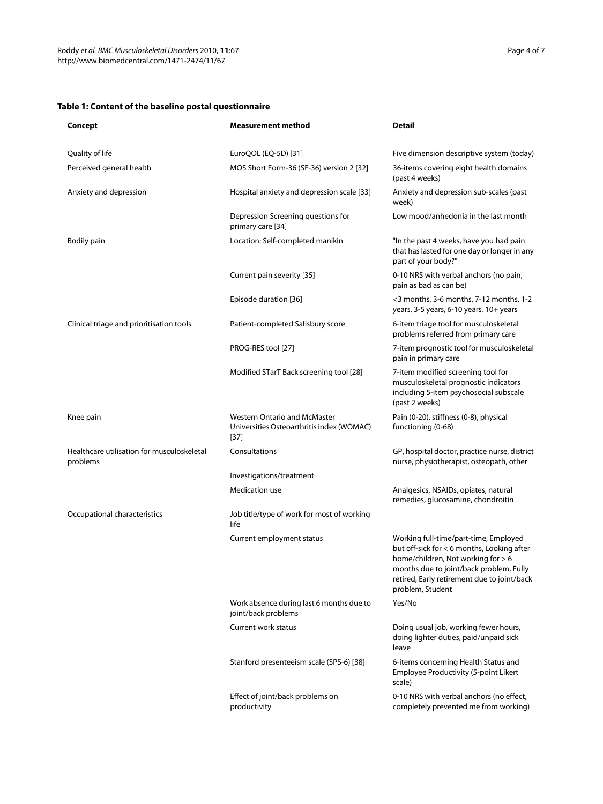# **Table 1: Content of the baseline postal questionnaire**

| Concept                                                | <b>Measurement method</b>                                                           | <b>Detail</b>                                                                                                                                                                                                                           |
|--------------------------------------------------------|-------------------------------------------------------------------------------------|-----------------------------------------------------------------------------------------------------------------------------------------------------------------------------------------------------------------------------------------|
| Quality of life                                        | EuroQOL (EQ-5D) [31]                                                                | Five dimension descriptive system (today)                                                                                                                                                                                               |
| Perceived general health                               | MOS Short Form-36 (SF-36) version 2 [32]                                            | 36-items covering eight health domains<br>(past 4 weeks)                                                                                                                                                                                |
| Anxiety and depression                                 | Hospital anxiety and depression scale [33]                                          | Anxiety and depression sub-scales (past<br>week)                                                                                                                                                                                        |
|                                                        | Depression Screening questions for<br>primary care [34]                             | Low mood/anhedonia in the last month                                                                                                                                                                                                    |
| Bodily pain                                            | Location: Self-completed manikin                                                    | "In the past 4 weeks, have you had pain<br>that has lasted for one day or longer in any<br>part of your body?"                                                                                                                          |
|                                                        | Current pain severity [35]                                                          | 0-10 NRS with verbal anchors (no pain,<br>pain as bad as can be)                                                                                                                                                                        |
|                                                        | Episode duration [36]                                                               | <3 months, 3-6 months, 7-12 months, 1-2<br>years, 3-5 years, 6-10 years, 10+ years                                                                                                                                                      |
| Clinical triage and prioritisation tools               | Patient-completed Salisbury score                                                   | 6-item triage tool for musculoskeletal<br>problems referred from primary care                                                                                                                                                           |
|                                                        | PROG-RES tool [27]                                                                  | 7-item prognostic tool for musculoskeletal<br>pain in primary care                                                                                                                                                                      |
|                                                        | Modified STarT Back screening tool [28]                                             | 7-item modified screening tool for<br>musculoskeletal prognostic indicators<br>including 5-item psychosocial subscale<br>(past 2 weeks)                                                                                                 |
| Knee pain                                              | Western Ontario and McMaster<br>Universities Osteoarthritis index (WOMAC)<br>$[37]$ | Pain (0-20), stiffness (0-8), physical<br>functioning (0-68)                                                                                                                                                                            |
| Healthcare utilisation for musculoskeletal<br>problems | Consultations                                                                       | GP, hospital doctor, practice nurse, district<br>nurse, physiotherapist, osteopath, other                                                                                                                                               |
|                                                        | Investigations/treatment                                                            |                                                                                                                                                                                                                                         |
|                                                        | Medication use                                                                      | Analgesics, NSAIDs, opiates, natural<br>remedies, glucosamine, chondroitin                                                                                                                                                              |
| Occupational characteristics                           | Job title/type of work for most of working<br>life                                  |                                                                                                                                                                                                                                         |
|                                                        | Current employment status                                                           | Working full-time/part-time, Employed<br>but off-sick for < 6 months, Looking after<br>home/children, Not working for > 6<br>months due to joint/back problem, Fully<br>retired, Early retirement due to joint/back<br>problem, Student |
|                                                        | Work absence during last 6 months due to<br>joint/back problems                     | Yes/No                                                                                                                                                                                                                                  |
|                                                        | Current work status                                                                 | Doing usual job, working fewer hours,<br>doing lighter duties, paid/unpaid sick<br>leave                                                                                                                                                |
|                                                        | Stanford presenteeism scale (SPS-6) [38]                                            | 6-items concerning Health Status and<br>Employee Productivity (5-point Likert<br>scale)                                                                                                                                                 |
|                                                        | Effect of joint/back problems on<br>productivity                                    | 0-10 NRS with verbal anchors (no effect,<br>completely prevented me from working)                                                                                                                                                       |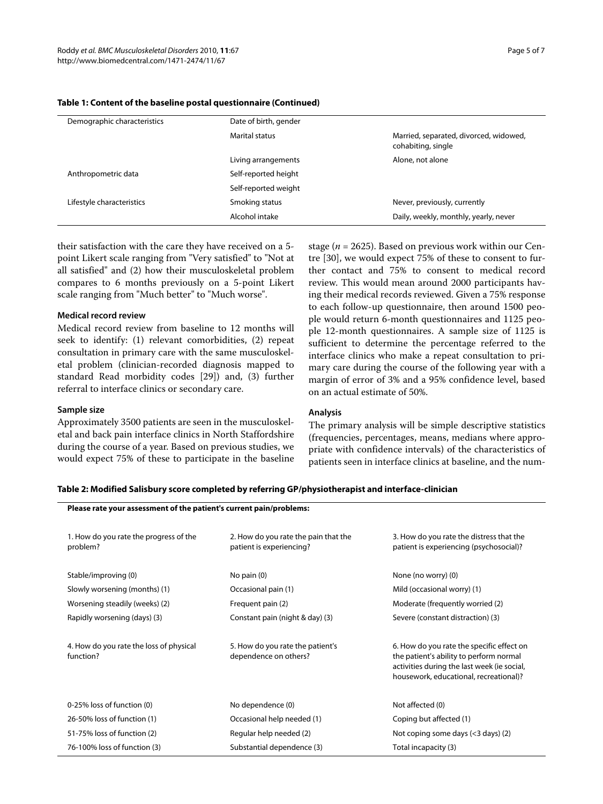| Demographic characteristics | Date of birth, gender |                                                              |
|-----------------------------|-----------------------|--------------------------------------------------------------|
|                             | Marital status        | Married, separated, divorced, widowed,<br>cohabiting, single |
|                             | Living arrangements   | Alone, not alone                                             |
| Anthropometric data         | Self-reported height  |                                                              |
|                             | Self-reported weight  |                                                              |
| Lifestyle characteristics   | Smoking status        | Never, previously, currently                                 |
|                             | Alcohol intake        | Daily, weekly, monthly, yearly, never                        |

#### **Table 1: Content of the baseline postal questionnaire (Continued)**

their satisfaction with the care they have received on a 5 point Likert scale ranging from "Very satisfied" to "Not at all satisfied" and (2) how their musculoskeletal problem compares to 6 months previously on a 5-point Likert scale ranging from "Much better" to "Much worse".

#### **Medical record review**

Medical record review from baseline to 12 months will seek to identify: (1) relevant comorbidities, (2) repeat consultation in primary care with the same musculoskeletal problem (clinician-recorded diagnosis mapped to standard Read morbidity codes [[29\]](#page-6-18)) and, (3) further referral to interface clinics or secondary care.

#### **Sample size**

Approximately 3500 patients are seen in the musculoskeletal and back pain interface clinics in North Staffordshire during the course of a year. Based on previous studies, we would expect 75% of these to participate in the baseline

stage (*n* = 2625). Based on previous work within our Centre [\[30](#page-6-19)], we would expect 75% of these to consent to further contact and 75% to consent to medical record review. This would mean around 2000 participants having their medical records reviewed. Given a 75% response to each follow-up questionnaire, then around 1500 people would return 6-month questionnaires and 1125 people 12-month questionnaires. A sample size of 1125 is sufficient to determine the percentage referred to the interface clinics who make a repeat consultation to primary care during the course of the following year with a margin of error of 3% and a 95% confidence level, based on an actual estimate of 50%.

#### **Analysis**

The primary analysis will be simple descriptive statistics (frequencies, percentages, means, medians where appropriate with confidence intervals) of the characteristics of patients seen in interface clinics at baseline, and the num-

#### <span id="page-4-0"></span>**Table 2: Modified Salisbury score completed by referring GP/physiotherapist and interface-clinician**

**Please rate your assessment of the patient's current pain/problems:**

| 1. How do you rate the progress of the<br>problem?   | 2. How do you rate the pain that the<br>patient is experiencing? | 3. How do you rate the distress that the<br>patient is experiencing (psychosocial)?                                                                                           |
|------------------------------------------------------|------------------------------------------------------------------|-------------------------------------------------------------------------------------------------------------------------------------------------------------------------------|
| Stable/improving (0)                                 | No pain (0)                                                      | None (no worry) (0)                                                                                                                                                           |
| Slowly worsening (months) (1)                        | Occasional pain (1)                                              | Mild (occasional worry) (1)                                                                                                                                                   |
| Worsening steadily (weeks) (2)                       | Frequent pain (2)                                                | Moderate (frequently worried (2)                                                                                                                                              |
| Rapidly worsening (days) (3)                         | Constant pain (night & day) (3)                                  | Severe (constant distraction) (3)                                                                                                                                             |
| 4. How do you rate the loss of physical<br>function? | 5. How do you rate the patient's<br>dependence on others?        | 6. How do you rate the specific effect on<br>the patient's ability to perform normal<br>activities during the last week (ie social,<br>housework, educational, recreational)? |
| 0-25% loss of function (0)                           | No dependence (0)                                                | Not affected (0)                                                                                                                                                              |
| 26-50% loss of function (1)                          | Occasional help needed (1)                                       | Coping but affected (1)                                                                                                                                                       |
| 51-75% loss of function (2)                          | Regular help needed (2)                                          | Not coping some days $(<$ 3 days $)$ (2)                                                                                                                                      |
| 76-100% loss of function (3)                         | Substantial dependence (3)                                       | Total incapacity (3)                                                                                                                                                          |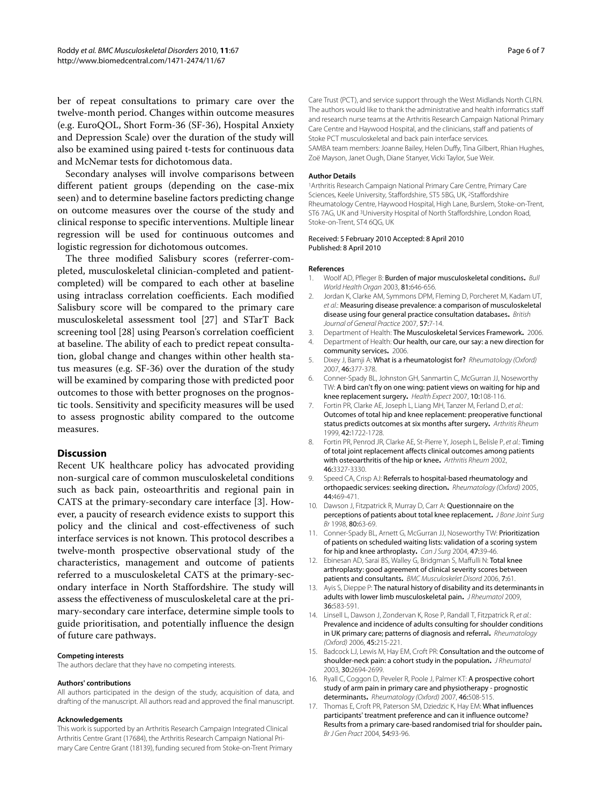ber of repeat consultations to primary care over the twelve-month period. Changes within outcome measures (e.g. EuroQOL, Short Form-36 (SF-36), Hospital Anxiety and Depression Scale) over the duration of the study will also be examined using paired t-tests for continuous data and McNemar tests for dichotomous data.

Secondary analyses will involve comparisons between different patient groups (depending on the case-mix seen) and to determine baseline factors predicting change on outcome measures over the course of the study and clinical response to specific interventions. Multiple linear regression will be used for continuous outcomes and logistic regression for dichotomous outcomes.

The three modified Salisbury scores (referrer-completed, musculoskeletal clinician-completed and patientcompleted) will be compared to each other at baseline using intraclass correlation coefficients. Each modified Salisbury score will be compared to the primary care musculoskeletal assessment tool [[27\]](#page-6-8) and STarT Back screening tool [\[28](#page-6-9)] using Pearson's correlation coefficient at baseline. The ability of each to predict repeat consultation, global change and changes within other health status measures (e.g. SF-36) over the duration of the study will be examined by comparing those with predicted poor outcomes to those with better prognoses on the prognostic tools. Sensitivity and specificity measures will be used to assess prognostic ability compared to the outcome measures.

#### **Discussion**

Recent UK healthcare policy has advocated providing non-surgical care of common musculoskeletal conditions such as back pain, osteoarthritis and regional pain in CATS at the primary-secondary care interface [\[3\]](#page-5-2). However, a paucity of research evidence exists to support this policy and the clinical and cost-effectiveness of such interface services is not known. This protocol describes a twelve-month prospective observational study of the characteristics, management and outcome of patients referred to a musculoskeletal CATS at the primary-secondary interface in North Staffordshire. The study will assess the effectiveness of musculoskeletal care at the primary-secondary care interface, determine simple tools to guide prioritisation, and potentially influence the design of future care pathways.

#### **Competing interests**

The authors declare that they have no competing interests.

#### **Authors' contributions**

All authors participated in the design of the study, acquisition of data, and drafting of the manuscript. All authors read and approved the final manuscript.

#### **Acknowledgements**

This work is supported by an Arthritis Research Campaign Integrated Clinical Arthritis Centre Grant (17684), the Arthritis Research Campaign National Primary Care Centre Grant (18139), funding secured from Stoke-on-Trent Primary Care Trust (PCT), and service support through the West Midlands North CLRN. The authors would like to thank the administrative and health informatics staff and research nurse teams at the Arthritis Research Campaign National Primary

Care Centre and Haywood Hospital, and the clinicians, staff and patients of Stoke PCT musculoskeletal and back pain interface services.

SAMBA team members: Joanne Bailey, Helen Duffy, Tina Gilbert, Rhian Hughes, Zoë Mayson, Janet Ough, Diane Stanyer, Vicki Taylor, Sue Weir.

#### **Author Details**

1Arthritis Research Campaign National Primary Care Centre, Primary Care Sciences, Keele University, Staffordshire, ST5 5BG, UK, 2Staffordshire Rheumatology Centre, Haywood Hospital, High Lane, Burslem, Stoke-on-Trent, ST6 7AG, UK and 3University Hospital of North Staffordshire, London Road, Stoke-on-Trent, ST4 6QG, UK

#### Received: 5 February 2010 Accepted: 8 April 2010 Published: 8 April 2010

#### **References**

- <span id="page-5-0"></span>1. Woolf AD, Pfleger B: Burden of major musculoskeletal conditions**.** Bull World Health Organ 2003, 81:646-656.
- <span id="page-5-1"></span>2. Jordan K, Clarke AM, Symmons DPM, Fleming D, Porcheret M, Kadam UT, et al.: Measuring disease prevalence: a comparison of musculoskeletal disease using four general practice consultation databases**[.](http://www.ncbi.nlm.nih.gov/entrez/query.fcgi?cmd=Retrieve&db=PubMed&dopt=Abstract&list_uids=17244418)** British Journal of General Practice 2007, 57:7-14.
- <span id="page-5-2"></span>3. Department of Health: The Musculoskeletal Services Framework**.** 2006. 4. Department of Health: Our health, our care, our say: a new direction for
- <span id="page-5-3"></span>community services**.** 2006.
- <span id="page-5-4"></span>5. Dixey J, Bamji A: What is a rheumatologist for? Rheumatology (Oxford) 2007, 46:377-378.
- <span id="page-5-5"></span>6. Conner-Spady BL, Johnston GH, Sanmartin C, McGurran JJ, Noseworthy TW: A bird can't fly on one wing: patient views on waiting for hip and knee replacement surgery**.** Health Expect 2007, 10:108-116.
- <span id="page-5-6"></span>7. Fortin PR, Clarke AE, Joseph L, Liang MH, Tanzer M, Ferland D, et al.: Outcomes of total hip and knee replacement: preoperative functional status predicts outcomes at six months after surgery**.** Arthritis Rheum 1999, 42:1722-1728.
- <span id="page-5-7"></span>8. Fortin PR, Penrod JR, Clarke AE, St-Pierre Y, Joseph L, Belisle P, et al.: Timing of total joint replacement affects clinical outcomes among patients with osteoarthritis of the hip or knee**.** Arthritis Rheum 2002, 46:3327-3330.
- <span id="page-5-8"></span>9. Speed CA, Crisp AJ: Referrals to hospital-based rheumatology and orthopaedic services: seeking direction**.** Rheumatology (Oxford) 2005, 44:469-471.
- <span id="page-5-9"></span>10. Dawson J, Fitzpatrick R, Murray D, Carr A: Questionnaire on the perceptions of patients about total knee replacement**.** J Bone Joint Surg Br 1998, 80:63-69.
- 11. Conner-Spady BL, Arnett G, McGurran JJ, Noseworthy TW: Prioritization of patients on scheduled waiting lists: validation of a scoring system for hip and knee arthroplasty**.** Can J Surg 2004, 47:39-46.
- <span id="page-5-10"></span>12. Ebinesan AD, Sarai BS, Walley G, Bridgman S, Maffulli N: Total knee arthroplasty: good agreement of clinical severity scores between patients and consultants**[.](http://www.ncbi.nlm.nih.gov/entrez/query.fcgi?cmd=Retrieve&db=PubMed&dopt=Abstract&list_uids=16879741)** BMC Musculoskelet Disord 2006, 7:61.
- <span id="page-5-11"></span>13. Ayis S, Dieppe P: The natural history of disability and its determinants in adults with lower limb musculoskeletal pain**[.](http://www.ncbi.nlm.nih.gov/entrez/query.fcgi?cmd=Retrieve&db=PubMed&dopt=Abstract&list_uids=19208591)** J Rheumatol 2009, 36:583-591.
- 14. Linsell L, Dawson J, Zondervan K, Rose P, Randall T, Fitzpatrick R, et al.: Prevalence and incidence of adults consulting for shoulder conditions in UK primary care; patterns of diagnosis and referral**.** Rheumatology (Oxford) 2006, 45:215-221.
- 15. Badcock LJ, Lewis M, Hay EM, Croft PR: Consultation and the outcome of shoulder-neck pain: a cohort study in the population[.](http://www.ncbi.nlm.nih.gov/entrez/query.fcgi?cmd=Retrieve&db=PubMed&dopt=Abstract&list_uids=14719215) JRheumatol 2003, 30:2694-2699.
- 16. Ryall C, Coggon D, Peveler R, Poole J, Palmer KT: A prospective cohort study of arm pain in primary care and physiotherapy - prognostic determinants**.** Rheumatology (Oxford) 2007, 46:508-515.
- <span id="page-5-12"></span>17. Thomas E, Croft PR, Paterson SM, Dziedzic K, Hay EM: What influences participants' treatment preference and can it influence outcome? Results from a primary care-based randomised trial for shoulder pain**.** Br J Gen Pract 2004, 54:93-96.